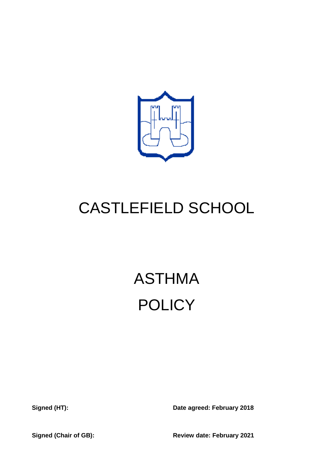

## CASTLEFIELD SCHOOL

# ASTHMA **POLICY**

**Signed (HT): Date agreed: February 2018**

**Signed (Chair of GB): Review date: February 2021**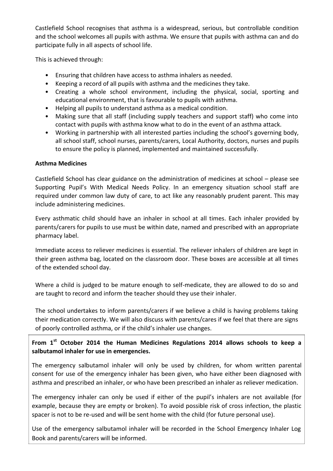Castlefield School recognises that asthma is a widespread, serious, but controllable condition and the school welcomes all pupils with asthma. We ensure that pupils with asthma can and do participate fully in all aspects of school life.

This is achieved through:

- Ensuring that children have access to asthma inhalers as needed.
- Keeping a record of all pupils with asthma and the medicines they take.
- Creating a whole school environment, including the physical, social, sporting and educational environment, that is favourable to pupils with asthma.
- Helping all pupils to understand asthma as a medical condition.
- Making sure that all staff (including supply teachers and support staff) who come into contact with pupils with asthma know what to do in the event of an asthma attack.
- Working in partnership with all interested parties including the school's governing body, all school staff, school nurses, parents/carers, Local Authority, doctors, nurses and pupils to ensure the policy is planned, implemented and maintained successfully.

#### **Asthma Medicines**

Castlefield School has clear guidance on the administration of medicines at school – please see Supporting Pupil's With Medical Needs Policy. In an emergency situation school staff are required under common law duty of care, to act like any reasonably prudent parent. This may include administering medicines.

Every asthmatic child should have an inhaler in school at all times. Each inhaler provided by parents/carers for pupils to use must be within date, named and prescribed with an appropriate pharmacy label.

Immediate access to reliever medicines is essential. The reliever inhalers of children are kept in their green asthma bag, located on the classroom door. These boxes are accessible at all times of the extended school day.

Where a child is judged to be mature enough to self-medicate, they are allowed to do so and are taught to record and inform the teacher should they use their inhaler.

The school undertakes to inform parents/carers if we believe a child is having problems taking their medication correctly. We will also discuss with parents/cares if we feel that there are signs of poorly controlled asthma, or if the child's inhaler use changes.

### **From 1st October 2014 the Human Medicines Regulations 2014 allows schools to keep a salbutamol inhaler for use in emergencies.**

The emergency salbutamol inhaler will only be used by children, for whom written parental consent for use of the emergency inhaler has been given, who have either been diagnosed with asthma and prescribed an inhaler, or who have been prescribed an inhaler as reliever medication.

The emergency inhaler can only be used if either of the pupil's inhalers are not available (for example, because they are empty or broken). To avoid possible risk of cross infection, the plastic spacer is not to be re-used and will be sent home with the child (for future personal use).

Use of the emergency salbutamol inhaler will be recorded in the School Emergency Inhaler Log Book and parents/carers will be informed.